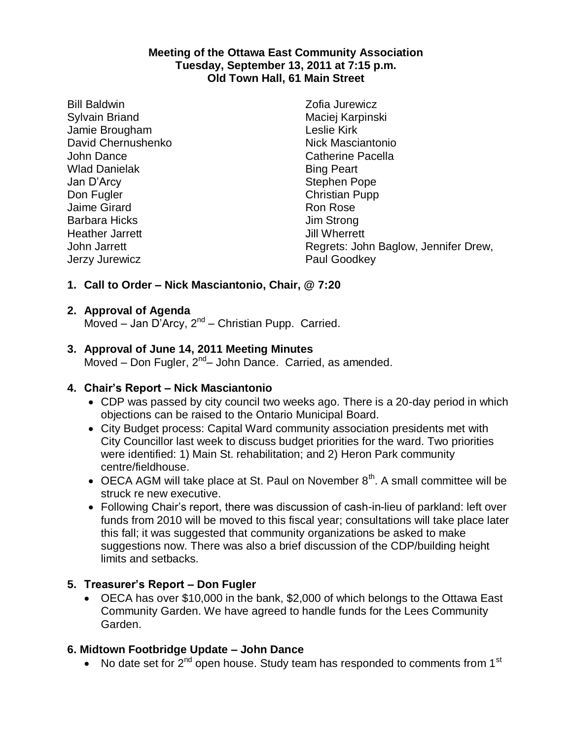#### **Meeting of the Ottawa East Community Association Tuesday, September 13, 2011 at 7:15 p.m. Old Town Hall, 61 Main Street**

Bill Baldwin Sylvain Briand Jamie Brougham David Chernushenko John Dance Wlad Danielak Jan D'Arcy Don Fugler Jaime Girard Barbara Hicks Heather Jarrett John Jarrett Jerzy Jurewicz

Zofia Jurewicz Maciej Karpinski Leslie Kirk Nick Masciantonio Catherine Pacella Bing Peart Stephen Pope Christian Pupp Ron Rose Jim Strong Jill Wherrett Regrets: John Baglow, Jennifer Drew, Paul Goodkey

# **1. Call to Order – Nick Masciantonio, Chair, @ 7:20**

### **2. Approval of Agenda**

Moved - Jan D'Arcy, 2<sup>nd</sup> - Christian Pupp. Carried.

### **3. Approval of June 14, 2011 Meeting Minutes**

Moved - Don Fugler, 2<sup>nd</sup> - John Dance. Carried, as amended.

### **4. Chair's Report – Nick Masciantonio**

- CDP was passed by city council two weeks ago. There is a 20-day period in which objections can be raised to the Ontario Municipal Board.
- City Budget process: Capital Ward community association presidents met with City Councillor last week to discuss budget priorities for the ward. Two priorities were identified: 1) Main St. rehabilitation; and 2) Heron Park community centre/fieldhouse.
- $\bullet$  OECA AGM will take place at St. Paul on November  $8<sup>th</sup>$ . A small committee will be struck re new executive.
- Following Chair's report, there was discussion of cash-in-lieu of parkland: left over funds from 2010 will be moved to this fiscal year; consultations will take place later this fall; it was suggested that community organizations be asked to make suggestions now. There was also a brief discussion of the CDP/building height limits and setbacks.

### **5. Treasurer's Report – Don Fugler**

 OECA has over \$10,000 in the bank, \$2,000 of which belongs to the Ottawa East Community Garden. We have agreed to handle funds for the Lees Community Garden.

### **6. Midtown Footbridge Update – John Dance**

• No date set for  $2^{nd}$  open house. Study team has responded to comments from 1<sup>st</sup>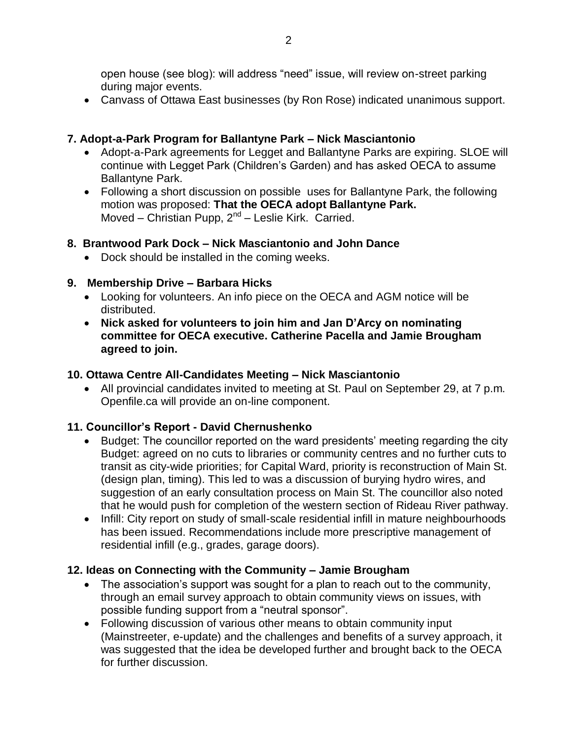open house (see blog): will address "need" issue, will review on-street parking during major events.

Canvass of Ottawa East businesses (by Ron Rose) indicated unanimous support.

### **7. Adopt-a-Park Program for Ballantyne Park – Nick Masciantonio**

- Adopt-a-Park agreements for Legget and Ballantyne Parks are expiring. SLOE will continue with Legget Park (Children's Garden) and has asked OECA to assume Ballantyne Park.
- Following a short discussion on possible uses for Ballantyne Park, the following motion was proposed: **That the OECA adopt Ballantyne Park.**  Moved - Christian Pupp, 2<sup>nd</sup> - Leslie Kirk. Carried.

### **8. Brantwood Park Dock – Nick Masciantonio and John Dance**

• Dock should be installed in the coming weeks.

### **9. Membership Drive – Barbara Hicks**

- Looking for volunteers. An info piece on the OECA and AGM notice will be distributed.
- **Nick asked for volunteers to join him and Jan D'Arcy on nominating committee for OECA executive. Catherine Pacella and Jamie Brougham agreed to join.**

### **10. Ottawa Centre All-Candidates Meeting – Nick Masciantonio**

 All provincial candidates invited to meeting at St. Paul on September 29, at 7 p.m. Openfile.ca will provide an on-line component.

# **11. Councillor's Report - David Chernushenko**

- Budget: The councillor reported on the ward presidents' meeting regarding the city Budget: agreed on no cuts to libraries or community centres and no further cuts to transit as city-wide priorities; for Capital Ward, priority is reconstruction of Main St. (design plan, timing). This led to was a discussion of burying hydro wires, and suggestion of an early consultation process on Main St. The councillor also noted that he would push for completion of the western section of Rideau River pathway.
- Infill: City report on study of small-scale residential infill in mature neighbourhoods has been issued. Recommendations include more prescriptive management of residential infill (e.g., grades, garage doors).

# **12. Ideas on Connecting with the Community – Jamie Brougham**

- The association's support was sought for a plan to reach out to the community, through an email survey approach to obtain community views on issues, with possible funding support from a "neutral sponsor".
- Following discussion of various other means to obtain community input (Mainstreeter, e-update) and the challenges and benefits of a survey approach, it was suggested that the idea be developed further and brought back to the OECA for further discussion.